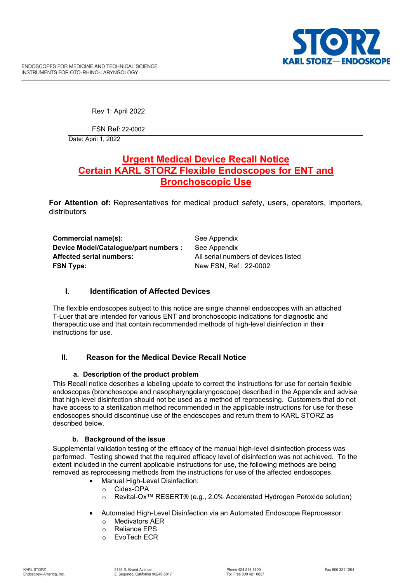Rev 1: April 2022

FSN Ref: 22-0002

Date: April 1, 2022

# **Urgent Medical Device Recall Notice Certain KARL STORZ Flexible Endoscopes for ENT and Bronchoscopic Use**

**For Attention of:** Representatives for medical product safety, users, operators, importers, distributors

**Commercial name(s):** See Appendix **Device Model/Catalogue/part numbers :** See Appendix **Affected serial numbers:** All serial numbers of devices listed **FSN Type:** New FSN, Ref.: 22-0002

## **I. Identification of Affected Devices**

The flexible endoscopes subject to this notice are single channel endoscopes with an attached T-Luer that are intended for various ENT and bronchoscopic indications for diagnostic and therapeutic use and that contain recommended methods of high-level disinfection in their instructions for use.

## **II. Reason for the Medical Device Recall Notice**

## **a. Description of the product problem**

This Recall notice describes a labeling update to correct the instructions for use for certain flexible endoscopes (bronchoscope and nasopharyngolaryngoscope) described in the Appendix and advise that high-level disinfection should not be used as a method of reprocessing. Customers that do not have access to a sterilization method recommended in the applicable instructions for use for these endoscopes should discontinue use of the endoscopes and return them to KARL STORZ as described below.

### **b. Background of the issue**

Supplemental validation testing of the efficacy of the manual high-level disinfection process was performed. Testing showed that the required efficacy level of disinfection was not achieved. To the extent included in the current applicable instructions for use, the following methods are being removed as reprocessing methods from the instructions for use of the affected endoscopes.

- **Manual High-Level Disinfection:** 
	- o Cidex-OPA
	- o Revital-Ox™ RESERT® (e.g., 2.0% Accelerated Hydrogen Peroxide solution)
- Automated High-Level Disinfection via an Automated Endoscope Reprocessor:
	- o Medivators AER
	- o Reliance EPS
	- o EvoTech ECR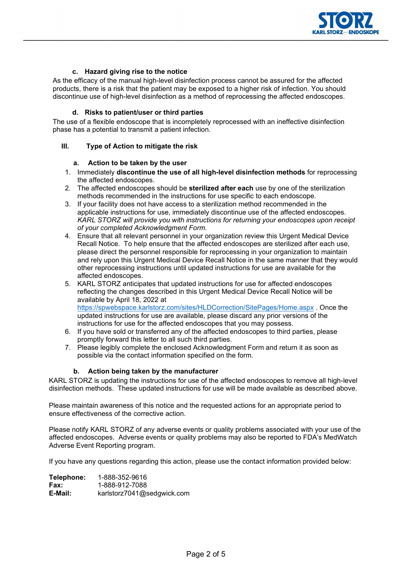

### **c. Hazard giving rise to the notice**

As the efficacy of the manual high-level disinfection process cannot be assured for the affected products, there is a risk that the patient may be exposed to a higher risk of infection. You should discontinue use of high-level disinfection as a method of reprocessing the affected endoscopes.

### **d. Risks to patient/user or third parties**

The use of a flexible endoscope that is incompletely reprocessed with an ineffective disinfection phase has a potential to transmit a patient infection.

#### **III. Type of Action to mitigate the risk**

#### **a. Action to be taken by the user**

- 1. Immediately **discontinue the use of all high-level disinfection methods** for reprocessing the affected endoscopes.
- 2. The affected endoscopes should be **sterilized after each** use by one of the sterilization methods recommended in the instructions for use specific to each endoscope.
- 3. If your facility does not have access to a sterilization method recommended in the applicable instructions for use, immediately discontinue use of the affected endoscopes. *KARL STORZ will provide you with instructions for returning your endoscopes upon receipt of your completed Acknowledgment Form.*
- 4. Ensure that all relevant personnel in your organization review this Urgent Medical Device Recall Notice. To help ensure that the affected endoscopes are sterilized after each use, please direct the personnel responsible for reprocessing in your organization to maintain and rely upon this Urgent Medical Device Recall Notice in the same manner that they would other reprocessing instructions until updated instructions for use are available for the affected endoscopes.
- 5. KARL STORZ anticipates that updated instructions for use for affected endoscopes reflecting the changes described in this Urgent Medical Device Recall Notice will be available by April 18, 2022 at <https://spwebspace.karlstorz.com/sites/HLDCorrection/SitePages/Home.aspx> . Once the updated instructions for use are available, please discard any prior versions of the instructions for use for the affected endoscopes that you may possess.
- 6. If you have sold or transferred any of the affected endoscopes to third parties, please promptly forward this letter to all such third parties.
- 7. Please legibly complete the enclosed Acknowledgment Form and return it as soon as possible via the contact information specified on the form.

### **b. Action being taken by the manufacturer**

KARL STORZ is updating the instructions for use of the affected endoscopes to remove all high-level disinfection methods. These updated instructions for use will be made available as described above.

Please maintain awareness of this notice and the requested actions for an appropriate period to ensure effectiveness of the corrective action.

Please notify KARL STORZ of any adverse events or quality problems associated with your use of the affected endoscopes. Adverse events or quality problems may also be reported to FDA's MedWatch Adverse Event Reporting program.

If you have any questions regarding this action, please use the contact information provided below:

| Telephone:  | 1-888-352-9616             |
|-------------|----------------------------|
| <b>Fax:</b> | 1-888-912-7088             |
| E-Mail:     | karlstorz7041@sedgwick.com |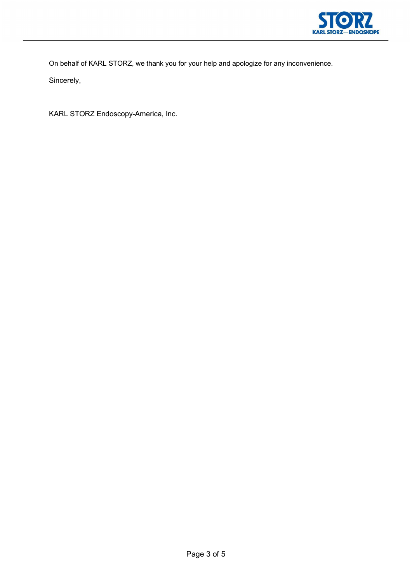

On behalf of KARL STORZ, we thank you for your help and apologize for any inconvenience.

Sincerely,

KARL STORZ Endoscopy-America, Inc.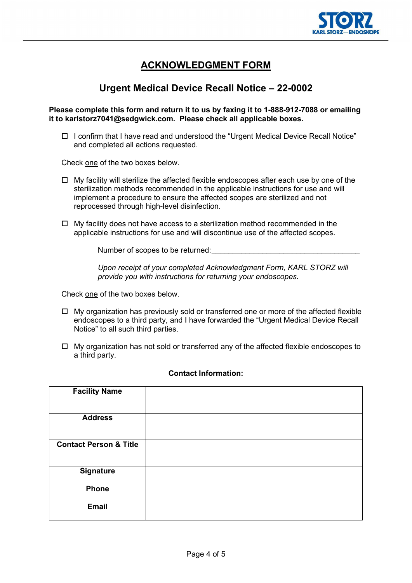

# **ACKNOWLEDGMENT FORM**

# **Urgent Medical Device Recall Notice – 22-0002**

## **Please complete this form and return it to us by faxing it to 1-888-912-7088 or emailing it to karlstorz7041@sedgwick.com. Please check all applicable boxes.**

 $\Box$  I confirm that I have read and understood the "Urgent Medical Device Recall Notice" and completed all actions requested.

Check one of the two boxes below.

- $\Box$  My facility will sterilize the affected flexible endoscopes after each use by one of the sterilization methods recommended in the applicable instructions for use and will implement a procedure to ensure the affected scopes are sterilized and not reprocessed through high-level disinfection.
- $\Box$  My facility does not have access to a sterilization method recommended in the applicable instructions for use and will discontinue use of the affected scopes.

Number of scopes to be returned:

*Upon receipt of your completed Acknowledgment Form, KARL STORZ will provide you with instructions for returning your endoscopes.*

Check one of the two boxes below.

- $\Box$  My organization has previously sold or transferred one or more of the affected flexible endoscopes to a third party, and I have forwarded the "Urgent Medical Device Recall Notice" to all such third parties.
- $\Box$  My organization has not sold or transferred any of the affected flexible endoscopes to a third party.

| <b>Facility Name</b>              |  |
|-----------------------------------|--|
| <b>Address</b>                    |  |
| <b>Contact Person &amp; Title</b> |  |
| Signature                         |  |
| <b>Phone</b>                      |  |
| <b>Email</b>                      |  |

## **Contact Information:**